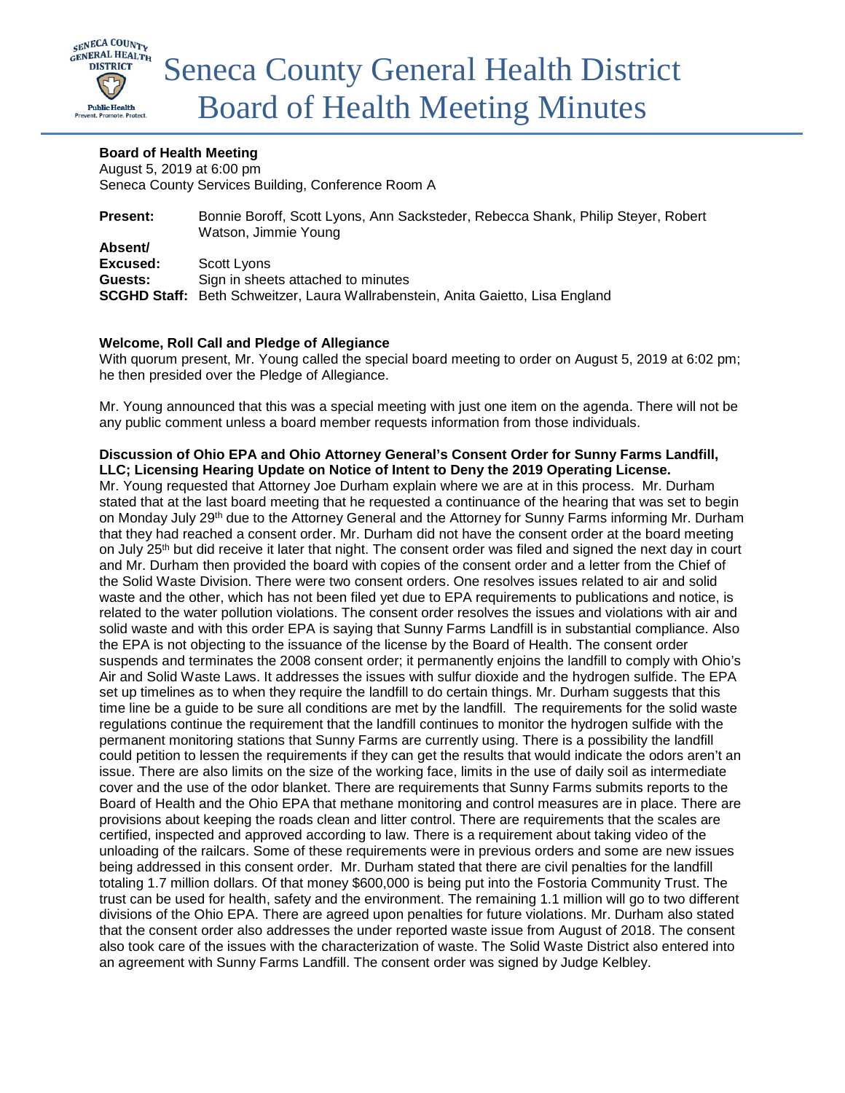

## **Board of Health Meeting**

August 5, 2019 at 6:00 pm Seneca County Services Building, Conference Room A

| <b>Present:</b> | Bonnie Boroff, Scott Lyons, Ann Sacksteder, Rebecca Shank, Philip Steyer, Robert<br>Watson, Jimmie Young |
|-----------------|----------------------------------------------------------------------------------------------------------|
| Absent/         |                                                                                                          |
| Excused:        | Scott Lvons                                                                                              |
| Guests:         | Sign in sheets attached to minutes                                                                       |
|                 | <b>SCGHD Staff:</b> Beth Schweitzer, Laura Wallrabenstein, Anita Gaietto, Lisa England                   |

## **Welcome, Roll Call and Pledge of Allegiance**

With quorum present, Mr. Young called the special board meeting to order on August 5, 2019 at 6:02 pm; he then presided over the Pledge of Allegiance.

Mr. Young announced that this was a special meeting with just one item on the agenda. There will not be any public comment unless a board member requests information from those individuals.

## **Discussion of Ohio EPA and Ohio Attorney General's Consent Order for Sunny Farms Landfill, LLC; Licensing Hearing Update on Notice of Intent to Deny the 2019 Operating License.**

Mr. Young requested that Attorney Joe Durham explain where we are at in this process. Mr. Durham stated that at the last board meeting that he requested a continuance of the hearing that was set to begin on Monday July 29<sup>th</sup> due to the Attorney General and the Attorney for Sunny Farms informing Mr. Durham that they had reached a consent order. Mr. Durham did not have the consent order at the board meeting on July 25th but did receive it later that night. The consent order was filed and signed the next day in court and Mr. Durham then provided the board with copies of the consent order and a letter from the Chief of the Solid Waste Division. There were two consent orders. One resolves issues related to air and solid waste and the other, which has not been filed yet due to EPA requirements to publications and notice, is related to the water pollution violations. The consent order resolves the issues and violations with air and solid waste and with this order EPA is saying that Sunny Farms Landfill is in substantial compliance. Also the EPA is not objecting to the issuance of the license by the Board of Health. The consent order suspends and terminates the 2008 consent order; it permanently enjoins the landfill to comply with Ohio's Air and Solid Waste Laws. It addresses the issues with sulfur dioxide and the hydrogen sulfide. The EPA set up timelines as to when they require the landfill to do certain things. Mr. Durham suggests that this time line be a guide to be sure all conditions are met by the landfill. The requirements for the solid waste regulations continue the requirement that the landfill continues to monitor the hydrogen sulfide with the permanent monitoring stations that Sunny Farms are currently using. There is a possibility the landfill could petition to lessen the requirements if they can get the results that would indicate the odors aren't an issue. There are also limits on the size of the working face, limits in the use of daily soil as intermediate cover and the use of the odor blanket. There are requirements that Sunny Farms submits reports to the Board of Health and the Ohio EPA that methane monitoring and control measures are in place. There are provisions about keeping the roads clean and litter control. There are requirements that the scales are certified, inspected and approved according to law. There is a requirement about taking video of the unloading of the railcars. Some of these requirements were in previous orders and some are new issues being addressed in this consent order. Mr. Durham stated that there are civil penalties for the landfill totaling 1.7 million dollars. Of that money \$600,000 is being put into the Fostoria Community Trust. The trust can be used for health, safety and the environment. The remaining 1.1 million will go to two different divisions of the Ohio EPA. There are agreed upon penalties for future violations. Mr. Durham also stated that the consent order also addresses the under reported waste issue from August of 2018. The consent also took care of the issues with the characterization of waste. The Solid Waste District also entered into an agreement with Sunny Farms Landfill. The consent order was signed by Judge Kelbley.